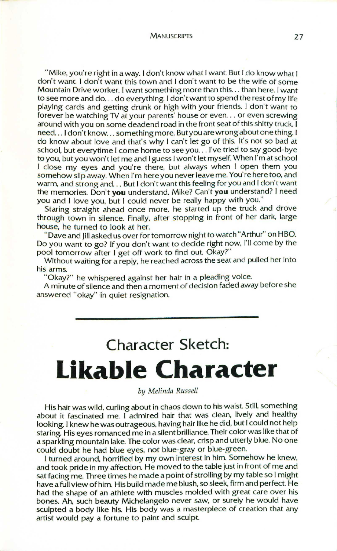MANUSCRIPTS 27

"Mike, you're right in away. I don't know what Iwant. But I do know what I don't want. I don't want this town and I don't want to be the wife of some Mountain Drive worker. Iwant something more than this... than here. Iwant to see more and do ... do everything. I don't want to spend the rest of my life playing cards and getting drunk or high with your friends. I don't want to forever be watching TV at your parents' house or even... or even screwing around with you on some deadend road in the front seat of this shitty truck. I need... I don't know... something more. But you are wrong about one thing. I do know about love and that's why I can't let go of this. It's not so bad at school, but every time I come home to see you ... I've tried to say good-bye to you, but you won't let me and Iguess Iwon't let myself. When I'm at school I close my eyes and you're there, but always when I open them you somehow slip away. When I'm here you never leave me. You're here too, and warm, and strong and. .. But I don't want this feeling for you and I don't want the memories. Don't **you** understand. Mike? Can't **you** understand? I need you and I love you, but I could never be really happy with you."

Staring straight ahead once more, he started up the truck and drove through town in silence. Finally, after stopping in front of her dark, large house, he turned to look at her.

"Dave and Jill asked us over for tomorrow night to watch "Arthur" on HBO. Do you want to go? If you don't want to decide right now, I'll come by the pool tomorrow after I get off work to find out. Okay?"

Without waiting for a reply, he reached across the seat and pulled her into his arms.

"Okay?" he whispered against her hair in a pleading voice.

A minute of silence and then a moment of decision faded away before she answered "okay" in quiet resignation.

## **Char acter Sketch: Likable Character**

*by Melinda Russell*

His hair was wild, curling about in chaos down to his waist. Still, something about it fascinated me. I admired hair that was clean, lively and healthy looking. I knew he was outrageous, having hair like he did, but I could not help staring. His eyes romanced me in a silent brilliance. Their color was like that of a sparkling mountain lake. The color was clear, crisp and utterly blue. No one could doubt he had blue eyes, not blue-gray or blue-green.

I turned around, horrified by my own interest in him. Somehow he knew, and took pride in my affection. He moved to the table just in front of me and sat facing me. Three times he made a point of strolling by my table so I might have a full view of him. His build made me blush, so sleek, firm and perfect. He had the shape of an athlete with muscles molded with great care over his bones. Ah, such beauty Michelangelo never saw, or surely he would have sculpted a body like his. His body was a masterpiece of creation that any artist would pay a fortune to paint and sculpt.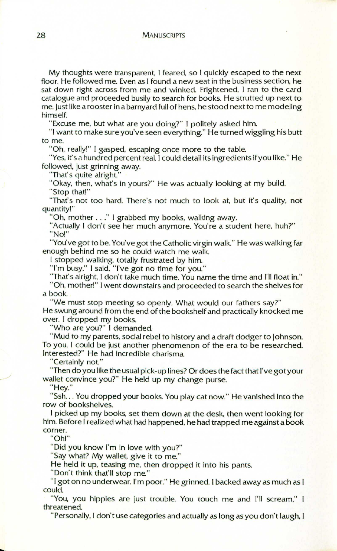My thoughts were transparent, I feared, so I quickly escaped to the next floor. He followed me. Even as I found a new seat in the business section, he sat down right across from me and winked. Frightened, I ran to the card catalogue and proceeded busily to search for books. He strutted up next to me. Justlike a rooster in a barnyard full of hens, he stood next to me modeling himself.

"Excuse me, but what are you doing?" I politely asked him.

"I want to make sure you've seen everything." He turned wiggling his butt to me.

"Oh, really!" I gasped, escaping once more to the table.

"Yes, it's a hundred percent real. I could detail its ingredients if you like." He followed, just grinning away.

"That's quite alright."

"Okay, then, what's in yours?" He was actually looking at my build. "Stop that!"

"That's not too hard. There's not much to look at, but it's quality, not quantity!"

"Oh, mother ... " I grabbed my books, walking away.

"Actually I don't see her much anymore. You're a student here, huh?" "No!"

"You've got to be. You've got the Catholic virgin walk." He was walking far enough behind me so he could watch me walk.

I stopped walking, totally frustrated by him.

"l'rn busy," I said, "I've got no time for you."

"That's alright, I don't take much time. You name the time and I'll float in."

"Oh. mother!" Iwent downstairs and proceeded to search the shelves for a book.

"We must stop meeting so openly. What would our fathers say?" He swung around from the end of the bookshelf and practically knocked me over. I dropped my books.

"Who are you?" I demanded.

"Mud to my parents, social rebel to history and a draft dodger to Johnson. To you, I could be just another phenomenon of the era to be researched. Interested?" He had incredible charisma

"Certainly not."

"Then do you like the usual pick-up lines? Or does the fact that I've got your wallet convince you?" He held up my change purse.

"Hey."

./

"Ssh... You dropped your books. You play cat now." He vanished into the row of bookshelves.

I picked up my books, set them down at the desk, then went looking for him. Before I realized what had happened, he had trapped me against a book corner.

"Oh!"

"Did you know I'm in love with you?"

"Say what? My wallet, give it to me."

He held it up, teasing me, then dropped it into his pants.

"Don't think that'll stop me."

"I got on no underwear. I'm poor." He grinned. I backed away as much as I could.

"You, you hippies are just trouble. You touch me and I'll scream," I threatened.

"Personally, I don't use categories and actually as long as you don't laugh, I